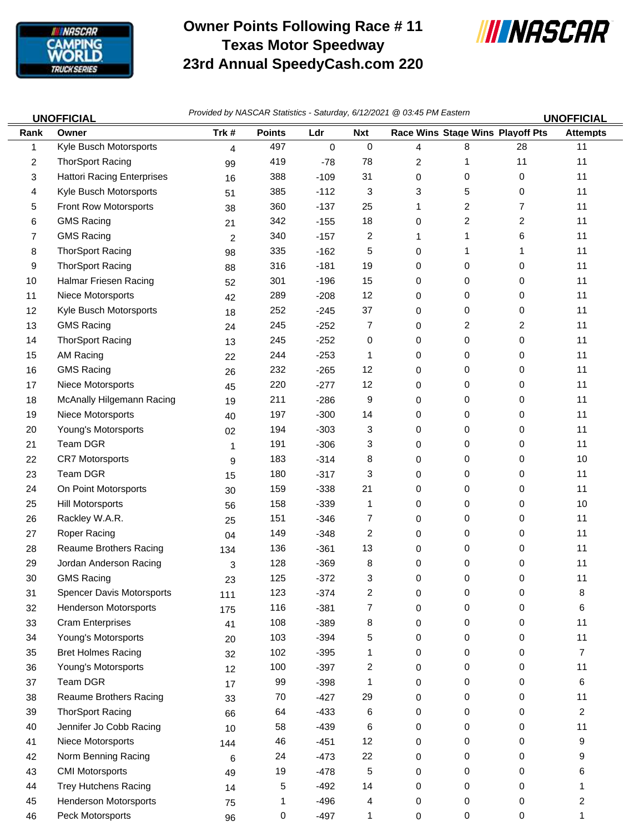

## **Owner Points Following Race # 11 Texas Motor Speedway 23rd Annual SpeedyCash.com 220**



| <b>UNOFFICIAL</b> |                                   | Provided by NASCAR Statistics - Saturday, 6/12/2021 @ 03:45 PM Eastern<br><b>UNOFFICIAL</b> |               |             |                |   |                                  |              |                 |  |
|-------------------|-----------------------------------|---------------------------------------------------------------------------------------------|---------------|-------------|----------------|---|----------------------------------|--------------|-----------------|--|
| Rank              | Owner                             | Trk#                                                                                        | <b>Points</b> | Ldr         | <b>Nxt</b>     |   | Race Wins Stage Wins Playoff Pts |              | <b>Attempts</b> |  |
| 1                 | Kyle Busch Motorsports            | $\overline{4}$                                                                              | 497           | $\mathbf 0$ | $\mathbf 0$    | 4 | 8                                | 28           | 11              |  |
| 2                 | <b>ThorSport Racing</b>           | 99                                                                                          | 419           | $-78$       | 78             | 2 | 1                                | 11           | 11              |  |
| 3                 | <b>Hattori Racing Enterprises</b> | 16                                                                                          | 388           | $-109$      | 31             | 0 | 0                                | 0            | 11              |  |
| 4                 | Kyle Busch Motorsports            | 51                                                                                          | 385           | $-112$      | 3              | 3 | 5                                | 0            | 11              |  |
| 5                 | Front Row Motorsports             | 38                                                                                          | 360           | $-137$      | 25             | 1 | 2                                | 7            | 11              |  |
| 6                 | <b>GMS Racing</b>                 | 21                                                                                          | 342           | $-155$      | 18             | 0 | $\overline{\mathbf{c}}$          | 2            | 11              |  |
| $\overline{7}$    | <b>GMS Racing</b>                 | 2                                                                                           | 340           | $-157$      | $\overline{c}$ | 1 | 1                                | 6            | 11              |  |
| 8                 | <b>ThorSport Racing</b>           | 98                                                                                          | 335           | $-162$      | 5              | 0 | 1                                | 1            | 11              |  |
| 9                 | <b>ThorSport Racing</b>           | 88                                                                                          | 316           | $-181$      | 19             | 0 | 0                                | 0            | 11              |  |
| 10                | Halmar Friesen Racing             | 52                                                                                          | 301           | $-196$      | 15             | 0 | 0                                | 0            | 11              |  |
| 11                | Niece Motorsports                 | 42                                                                                          | 289           | $-208$      | 12             | 0 | 0                                | 0            | 11              |  |
| 12                | Kyle Busch Motorsports            | 18                                                                                          | 252           | $-245$      | 37             | 0 | 0                                | 0            | 11              |  |
| 13                | <b>GMS Racing</b>                 | 24                                                                                          | 245           | $-252$      | 7              | 0 | 2                                | 2            | 11              |  |
| 14                | <b>ThorSport Racing</b>           | 13                                                                                          | 245           | $-252$      | 0              | 0 | 0                                | 0            | 11              |  |
| 15                | AM Racing                         | 22                                                                                          | 244           | $-253$      | 1              | 0 | 0                                | 0            | 11              |  |
| 16                | <b>GMS Racing</b>                 | 26                                                                                          | 232           | $-265$      | 12             | 0 | 0                                | 0            | 11              |  |
| 17                | Niece Motorsports                 | 45                                                                                          | 220           | $-277$      | 12             | 0 | 0                                | 0            | 11              |  |
| 18                | McAnally Hilgemann Racing         | 19                                                                                          | 211           | $-286$      | 9              | 0 | 0                                | 0            | 11              |  |
| 19                | Niece Motorsports                 | 40                                                                                          | 197           | $-300$      | 14             | 0 | 0                                | 0            | 11              |  |
| 20                | Young's Motorsports               | 02                                                                                          | 194           | $-303$      | 3              | 0 | 0                                | 0            | 11              |  |
| 21                | Team DGR                          | 1                                                                                           | 191           | $-306$      | 3              | 0 | 0                                | 0            | 11              |  |
| 22                | <b>CR7 Motorsports</b>            | 9                                                                                           | 183           | $-314$      | 8              | 0 | 0                                | 0            | 10              |  |
| 23                | Team DGR                          | 15                                                                                          | 180           | $-317$      | 3              | 0 | 0                                | 0            | 11              |  |
| 24                | On Point Motorsports              | 30                                                                                          | 159           | $-338$      | 21             | 0 | 0                                | 0            | 11              |  |
| 25                | <b>Hill Motorsports</b>           | 56                                                                                          | 158           | $-339$      | 1              | 0 | 0                                | 0            | 10              |  |
| 26                | Rackley W.A.R.                    | 25                                                                                          | 151           | $-346$      | 7              | 0 | 0                                | 0            | 11              |  |
| 27                | Roper Racing                      | 04                                                                                          | 149           | $-348$      | 2              | 0 | 0                                | 0            | 11              |  |
| 28                | Reaume Brothers Racing            | 134                                                                                         | 136           | $-361$      | 13             | 0 | 0                                | 0            | 11              |  |
| 29                | Jordan Anderson Racing            | 3                                                                                           | 128           | $-369$      | 8              | 0 | 0                                | 0            | 11              |  |
| 30                | <b>GMS Racing</b>                 | 23                                                                                          | 125           | $-372$      | З              | 0 | 0                                | <sup>n</sup> | 11              |  |
| 31                | <b>Spencer Davis Motorsports</b>  | 111                                                                                         | 123           | $-374$      | $\overline{c}$ | 0 | 0                                | 0            | 8               |  |
| 32                | <b>Henderson Motorsports</b>      | 175                                                                                         | 116           | $-381$      | 7              | 0 | 0                                | 0            | 6               |  |
| 33                | <b>Cram Enterprises</b>           | 41                                                                                          | 108           | $-389$      | 8              | 0 | 0                                | 0            | 11              |  |
| 34                | Young's Motorsports               | 20                                                                                          | 103           | $-394$      | 5              | 0 | 0                                | 0            | 11              |  |
| 35                | <b>Bret Holmes Racing</b>         | 32                                                                                          | 102           | $-395$      |                | 0 | 0                                | 0            | 7               |  |
| 36                | Young's Motorsports               | 12                                                                                          | 100           | $-397$      | 2              | 0 | 0                                | 0            | 11              |  |
| 37                | Team DGR                          | 17                                                                                          | 99            | $-398$      | 1              | 0 | 0                                | 0            | 6               |  |
| 38                | <b>Reaume Brothers Racing</b>     | 33                                                                                          | 70            | $-427$      | 29             | 0 | 0                                | 0            | 11              |  |
| 39                | <b>ThorSport Racing</b>           | 66                                                                                          | 64            | $-433$      | 6              | 0 | 0                                | 0            | 2               |  |
| 40                | Jennifer Jo Cobb Racing           | 10                                                                                          | 58            | $-439$      | 6              | 0 | 0                                | 0            | 11              |  |
| 41                | Niece Motorsports                 | 144                                                                                         | 46            | $-451$      | 12             | 0 | 0                                | 0            | 9               |  |
| 42                | Norm Benning Racing               | 6                                                                                           | 24            | $-473$      | 22             | 0 | 0                                | 0            | 9               |  |
| 43                | <b>CMI Motorsports</b>            | 49                                                                                          | 19            | $-478$      | 5              | 0 | 0                                | 0            | 6               |  |
| 44                | <b>Trey Hutchens Racing</b>       | 14                                                                                          | 5             | $-492$      | 14             | 0 | 0                                | 0            | 1               |  |
| 45                | <b>Henderson Motorsports</b>      | 75                                                                                          | 1             | $-496$      | 4              | 0 | 0                                | 0            | 2               |  |
| 46                | Peck Motorsports                  | 96                                                                                          | 0             | $-497$      | 1              | 0 | 0                                | 0            | 1               |  |